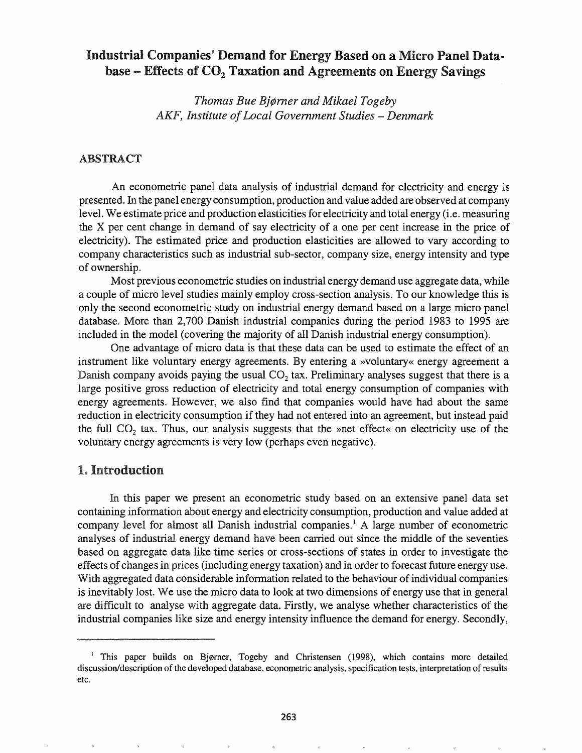# Industrial Companies' Demand for Energy Based on a Micro Panel Database – Effects of  $CO<sub>2</sub>$  Taxation and Agreements on Energy Savings

*Thomas Bue Bjørner and Mikael Togeby AKF, Institute ofLocal Government Studies* - *Denmark*

### ABSTRACT

An econometric panel data analysis of industrial demand for electricity and energy is presented. In the panel energy consumption, production and value added are observed at company level. We estimate price and production elasticities for electricity and total energy (i.e. measuring the X per cent change in demand of say electricity of a one per cent increase in the price of electricity). The estimated price and production elasticities are allowed to vary according to company characteristics such as industrial sub-sector, company size, energy intensity and type of ownership.

Most previous econometric studies on industrial energy demand use aggregate data, while a couple of micro level studies mainly employ cross-section analysis. To our knowledge this is only the second econometric study on industrial energy demand based on a large micro panel database. More than 2,700 Danish industrial companies during the period 1983 to 1995 are included in the model (covering the majority of all Danish industrial energy consumption).

One advantage of micro data is that these data can be used to estimate the effect of an instrument like voluntary energy agreements. By entering a »voluntary« energy agreement a Danish company avoids paying the usual  $CO<sub>2</sub>$  tax. Preliminary analyses suggest that there is a large positive gross reduction of electricity and total energy consumption of companies with energy agreements. However, we also find that companies would have had about the same reduction in electricity consumption if they had not entered into an agreement, but instead paid the full  $CO<sub>2</sub>$  tax. Thus, our analysis suggests that the »net effect« on electricity use of the voluntary energy agreements is very low (perhaps even negative).

### Introduction

In this paper we present an econometric study based on an extensive panel data set containing information about energy and electricity consumption, production and value added at company level for almost all Danish industrial companies.<sup>1</sup> A large number of econometric analyses of industrial energy demand have been carried out since the middle of the seventies based on aggregate data like time series or cross-sections of states in order to investigate the effects of changes in prices (including energy taxation) and in order to forecast future energy use. With aggregated data considerable information related to the behaviour of individual companies is inevitably lost. We use the micro data to look at two dimensions of energy use that in general are difficult to analyse with aggregate data. Firstly, we analyse whether characteristics of the industrial companies like size and energy intensity influence the demand for energy. Secondly,

 $1$  This paper builds on Bjørner, Togeby and Christensen (1998), which contains more detailed discussion/description of the developed database, econometric analysis, specification tests, interpretation of results etc.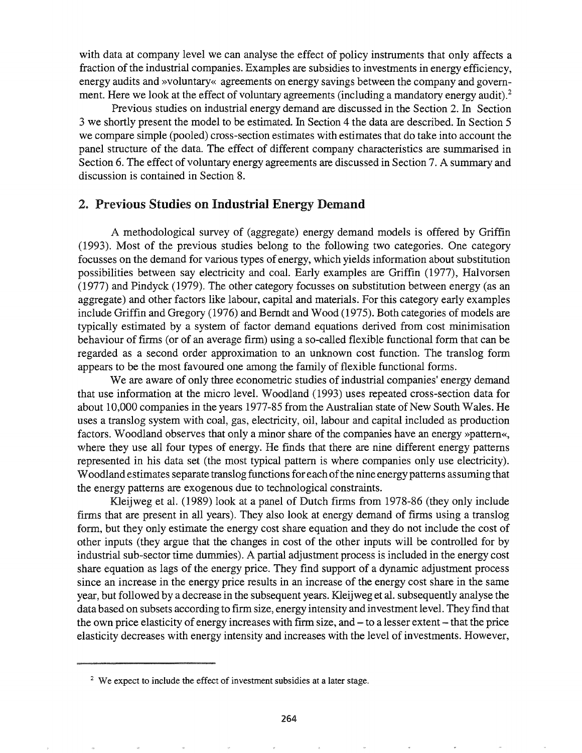with data at company level we can analyse the effect of policy instruments that only affects a fraction of the industrial companies. Examples are subsidies to investments in energy efficiency, energy audits and »voluntary« agreements on energy savings between the company and government. Here we look at the effect of voluntary agreements (including a mandatory energy audit).<sup>2</sup>

Previous studies on industrial energy demand are discussed in the Section 2. In Section 3 we shortly present the model to be estimated. In Section 4 the data are described. In Section 5 we compare simple (pooled) cross-section estimates with estimates that do take into account the panel structure of the data. The effect of different company characteristics are summarised in Section 6. The effect of voluntary energy agreements are discussed in Section 7. A summary and discussion is contained in Section 8.

## 2. Previous Studies on Industrial Energy Demand

A methodological survey of (aggregate) energy demand models is offered by Griffin (1993). Most of the previous studies belong to the following two categories. One category focusses on the demand for various types of energy, which yields information about substitution possibilities between say electricity and coal. Early examples are Griffin (1977), Halvorsen (1977) and Pindyck (1979). The other category focusses on substitution between energy (as an aggregate) and other factors like labour, capital and materials. For this category early examples include Griffin and Gregory (1976) and Berndt and Wood (1975). Both categories of models are typically estimated by a system of factor demand equations derived from cost minimisation behaviour offirms (or of an average firm) using a so-called flexible functional form that can be regarded as a second order approximation to an unknown cost function. The translog form appears to be the most favoured one among the family of flexible functional forms.

We are aware of only three econometric studies of industrial companies' energy demand that use information at the micro level. Woodland (1993) uses repeated cross-section data for about 10,000 companies in the years 1977-85 from the Australian state of New South Wales. He uses a translog system with coal, gas, electricity, oil, labour and capital included as production factors. Woodland observes that only a minor share of the companies have an energy »pattern«, where they use all four types of energy. He finds that there are nine different energy patterns represented in his data set (the most typical pattern is where companies only use electricity). Woodland estimates separate translog functions for each ofthe nine energy patterns assuming that the energy patterns are exogenous due to technological constraints.

Kleijweg et al. (1989) look at a panel of Dutch firms from 1978-86 (they only include firms that are present in all years). They also look at energy demand of firms using a translog form, but they only estimate the energy cost share equation and they do not include the cost of other inputs (they argue that the changes in cost of the other inputs will be controlled for by industrial sub-sector time dummies). A partial adjustment process is included in the energy cost share equation as lags of the energy price. They find support of a dynamic adjustment process since an increase in the energy price results in an increase of the energy cost share in the same year, but followed by a decrease in the subsequent years. Kleijweg et al. subsequently analyse the data based on subsets according to firm size, energy intensity and investment level. They find that the own price elasticity of energy increases with frrm size, and - to a lesser extent - that the price elasticity decreases with energy intensity and increases with the level ofinvestments. However,

 $2$  We expect to include the effect of investment subsidies at a later stage.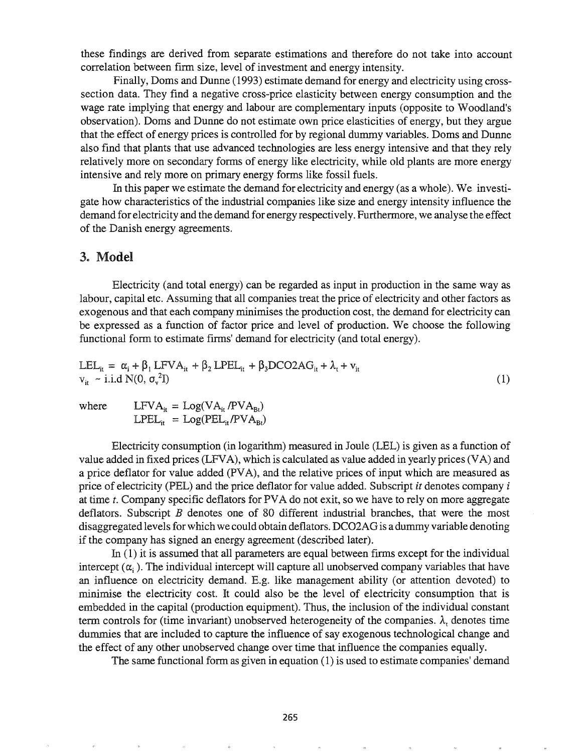these findings are derived from separate estimations and therefore do not take into account correlation between firm size, level of investment and energy intensity.

Finally, Doms and Dunne (1993) estimate demand for energy and electricity using crosssection data. They find a negative cross-price elasticity between energy consumption and the wage rate implying that energy and labour are complementary inputs (opposite to Woodland's observation). Doms and Dunne do not estimate own price elasticities of energy, but they argue that the effect of energy prices is controlled for by regional dummy variables. Dams and Dunne also find that plants that use advanced technologies are less energy intensive and that they rely relatively more on secondary forms of energy like electricity, while old plants are more energy intensive and rely more on primary energy forms like fossil fuels.

In this paper we estimate the demand for electricity and energy (as a whole). We investigate how characteristics ofthe industrial companies like size and energy intensity influence the demand for electricity and the demand for energy respectively. Furthermore, we analyse the effect of the Danish energy agreements.

#### 3. Model

Electricity (and total energy) can be regarded as input in production in the same way as labour, capital etc. Assuming that all companies treat the price of electricity and other factors as exogenous and that each company minimises the production cost, the demand for electricity can be expressed as a function of factor price and level of production. We choose the following functional form to estimate firms' demand for electricity (and total energy).

$$
LEL_{it} = \alpha_i + \beta_1 LFVA_{it} + \beta_2 LPEL_{it} + \beta_3 DCO2AG_{it} + \lambda_t + v_{it}
$$
  
\n
$$
v_{it} \sim i.i.d N(0, \sigma_v^2 I)
$$
 (1)

where  $LFVA_{it} = Log(VA_{it} / PVA_{Bt})$  $\text{LPEL}_{it}^{\pi} = \text{Log}(\text{PEL}_{it}/\text{PVA}_{\text{B}t})$ 

Electricity consumption (in logarithm) measured in Joule (LEL) is given as a function of value added in fixed prices (LFVA), which is calculated as value added in yearly prices (VA) and a price deflator for value added (PVA), and the relative prices of input which are measured as price of electricity (PEL) and the price deflator for value added. Subscript *it* denotes company i at time  $t$ . Company specific deflators for PVA do not exit, so we have to rely on more aggregate deflators. Subscript  $B$  denotes one of 80 different industrial branches, that were the most disaggregated levels for which we could obtain deflators. DC02AGis a dummy variable denoting if the company has signed an energy agreement (described later).

In  $(1)$  it is assumed that all parameters are equal between firms except for the individual intercept  $(\alpha_i)$ . The individual intercept will capture all unobserved company variables that have an influence on electricity demand. E.g. like management ability (or attention devoted) to minimise the electricity cost. It could also be the level of electricity consumption that is embedded in the capital (production equipment). Thus, the inclusion of the individual constant term controls for (time invariant) unobserved heterogeneity of the companies.  $\lambda$ , denotes time dummies that are included to capture the influence of say exogenous technological change and the effect of any other unobserved change over time that influence the companies equally.

The same functional form as given in equation (1) is used to estimate companies' demand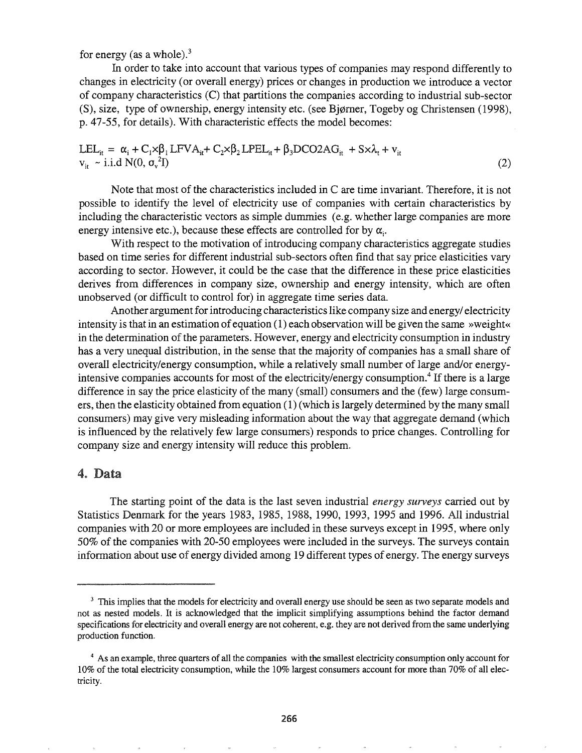for energy (as a whole). $3$ 

In order to take into account that various types of companies may respond differently to changes in electricity (or overall energy) prices or changes in production we introduce a vector of company characteristics (C) that partitions the companies according to industrial sub-sector (S), size, type of ownership, energy intensity etc. (see Bjørner, Togeby og Christensen (1998), p. 47-55, for details). With characteristic effects the model becomes:

$$
LEL_{it} = \alpha_i + C_1 \times \beta_1 LFVA_{it} + C_2 \times \beta_2 LPEL_{it} + \beta_3 DCO2AG_{it} + S \times \lambda_t + v_{it}
$$
  
\n
$$
v_{it} \sim i.i.d N(0, \sigma_v^2 I)
$$
 (2)

Note that most of the characteristics included in C are time invariant. Therefore, it is not possible to identify the level of electricity use of companies with certain characteristics by including the characteristic vectors as simple dummies (e.g. whether large companies are more energy intensive etc.), because these effects are controlled for by  $\alpha$ .

With respect to the motivation of introducing company characteristics aggregate studies based on time series for different industrial sub-sectors often find that say price elasticities vary according to sector. However, it could be the case that the difference in these price elasticities derives from differences in company size, ownership and energy intensity, which are often unobserved (or difficult to control for) in aggregate time series data.

Another argument for introducing characteristics like company size and energy/ electricity intensity is that in an estimation of equation  $(1)$  each observation will be given the same »weight« in the determination of the parameters. However, energy and electricity consumption in industry has a very unequal distribution, in the sense that the majority of companies has a small share of overall electricity/energy consumption, while a relatively small number of large and/or energyintensive companies accounts for most of the electricity/energy consumption.<sup>4</sup> If there is a large difference in say the price elasticity of the many (small) consumers and the (few) large consumers, then the elasticity obtained from equation (1) (which is largely determined by the many small consumers) may give very misleading information about the way that aggregate demand (which is influenced by the relatively few large consumers) responds to price changes. Controlling for company size and energy intensity will reduce this problem.

#### 4. Data

The starting point of the data is the last seven industrial *energy surveys* carried out by Statistics Denmark for the years 1983, 1985, 1988, 1990, 1993, 1995 and 1996. All industrial companies with 20 or more employees are included in these surveys except in 1995, where only 50% ofthe companies with 20-50 employees were included in the surveys. The surveys contain information about use of energy divided among 19 different types of energy. The energy surveys

<sup>&</sup>lt;sup>3</sup> This implies that the models for electricity and overall energy use should be seen as two separate models and not as nested models. It is acknowledged that the implicit simplifying assumptions behind the factor demand specifications for electricity and overall energy are not coherent, e.g. they are not derived from the same underlying production function.

<sup>&</sup>lt;sup>4</sup> As an example, three quarters of all the companies with the smallest electricity consumption only account for 10% of the total electricity consumption, while the 10% largest consumers account for more than 70% of all electricity.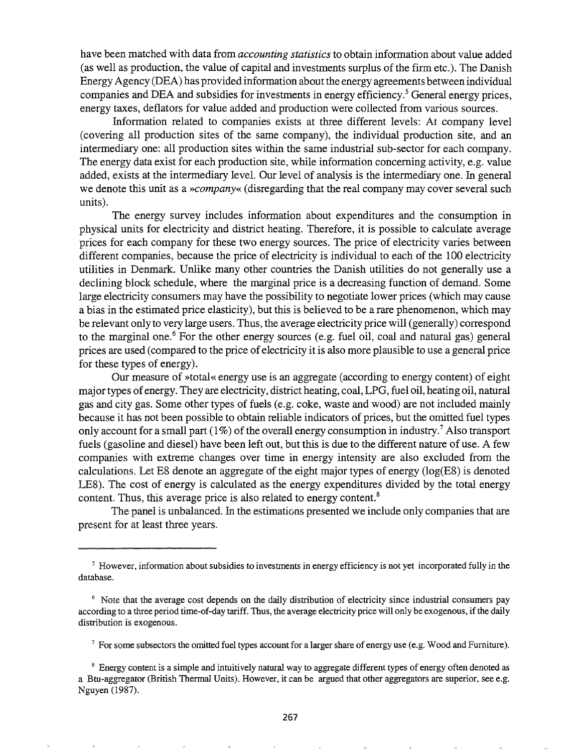have been matched with data from *accounting statistics* to obtain information about value added (as well as production, the value of capital and investments surplus ofthe firm etc.). The Danish Energy Agency (DEA) has provided information about the energy agreements between individual companies and DEA and subsidies for investments in energy efficiency.<sup>5</sup> General energy prices, energy taxes, deflators for value added and production were collected from various sources.

Information related to companies exists at three different levels: At company level (covering all production sites of the same company), the individual production site, and an intermediary one: all production sites within the same industrial sub-sector for each company. The energy data exist for each production site, while information concerning activity, e.g. value added, exists at the intermediary level. Our level of analysis is the intermediary one. In general we denote this unit as a *»company«* (disregarding that the real company may cover several such units).

The energy survey includes information about expenditures and the consumption in physical units for electricity and district heating. Therefore, it is possible to calculate average prices for each company for these two energy sources. The price of electricity varies between different companies, because the price of electricity is individual to each of the 100 electricity utilities in Denmark. Unlike many other countries the Danish utilities do not generally use a declining block schedule, where the marginal price is a decreasing function of demand. Some large electricity consumers may have the possibility to negotiate lower prices (which may cause a bias in the estimated price elasticity), but this is believed to be a rare phenomenon, which may be relevant only to very large users. Thus, the average electricity price will (generally) correspond to the marginal one.<sup>6</sup> For the other energy sources (e.g. fuel oil, coal and natural gas) general prices are used (compared to the price of electricity it is also more plausible to use a general price for these types of energy).

Our measure of »total« energy use is an aggregate (according to energy content) of eight majortypes ofenergy. They are electricity, district heating, coal, LPG, fuel oil, heating oil, natural gas and city gas. Some other types of fuels (e.g. coke, waste and wood) are not included mainly because it has not been possible to obtain reliable indicators of prices, but the omitted fuel types only account for a small part (1%) of the overall energy consumption in industry.<sup>7</sup> Also transport fuels (gasoline and diesel) have been left out, but this is due to the different nature of use. A few companies with extreme changes over time in energy intensity are also excluded from the calculations. Let E8 denote an aggregate of the eight major types of energy  $(log(E8))$  is denoted LE8). The cost of energy is calculated as the energy expenditures divided by the total energy content. Thus, this average price is also related to energy content. $8$ 

The panel is unbalanced. In the estimations presented we include only companies that are present for at least three years..

<sup>&</sup>lt;sup>5</sup> However, information about subsidies to investments in energy efficiency is not yet incorporated fully in the database.

<sup>&</sup>lt;sup>6</sup> Note that the average cost depends on the daily distribution of electricity since industrial consumers pay according to a three period time-of-day tariff. Thus, the average electricity price will only be exogenous, ifthe daily distribution is exogenous.

 $7$  For some subsectors the omitted fuel types account for a larger share of energy use (e.g. Wood and Furniture).

<sup>&</sup>lt;sup>8</sup> Energy content is a simple and intuitively natural way to aggregate different types of energy often denoted as a Btu-aggregator (British Thermal Units). However, it can be argued that other aggregators are superior, see e.g. Nguyen (1987).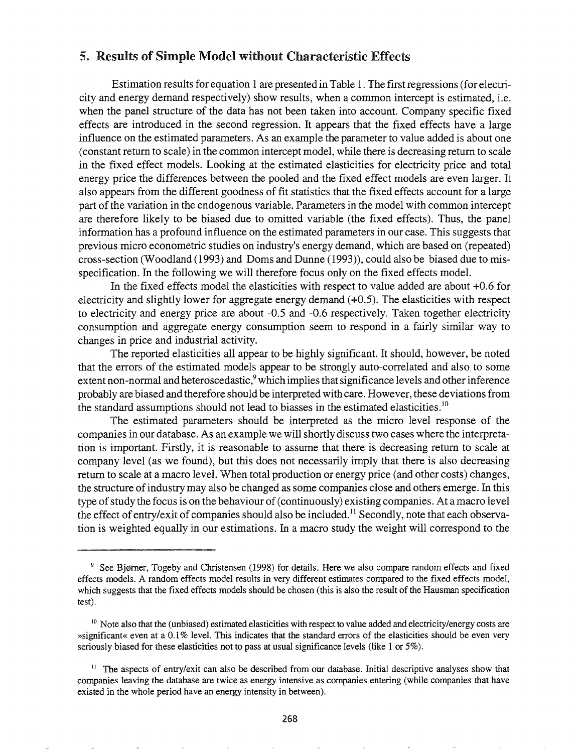### 5. Results of Simple Model without Characteristic Effects

Estimation results for equation 1 are presented in Table 1. The first regressions (for electricity and energy demand respectively) show results, when a common intercept is estimated, i.e. when the panel structure of the data has not been taken into account. Company specific fixed effects are introduced in the second regression. It appears that the fixed effects have a large influence on the estimated parameters. As an example the parameter to value added is about one (constant return to scale) in the common intercept model, while there is decreasing return to scale in the fixed effect models. Looking at the estimated elasticities for electricity price and total energy price the differences between the pooled and the fixed effect models are even larger. It also appears from the different goodness of fit statistics that the fixed effects account for a large part of the variation in the endogenous variable. Parameters in the model with common intercept are therefore likely to be biased due to omitted variable (the fixed effects). Thus, the panel information has a profound influence on the estimated parameters in our case. This suggests that previous micro econometric studies on industry's energy demand, which are based on (repeated) cross-section (Woodland (1993) and Doms and Dunne (1993)), could also be biased due to misspecification. In the following we will therefore focus only on the fixed effects model.

In the fixed effects model the elasticities with respect to value added are about +0.6 for electricity and slightly lower for aggregate energy demand  $(+0.5)$ . The elasticities with respect to electricity and energy price are about -0.5 and -0.6 respectively. Taken together electricity consumption and aggregate energy consumption seem to respond in a fairly similar way to changes in price and industrial activity.

The reported elasticities all appear to be highly significant. It should, however, be noted that the errors of the estimated models appear to be strongly auto-correlated and also to some extent non-normal and heteroscedastic, which implies that significance levels and other inference probably are biased and therefore should be interpreted with care. However, these deviations from the standard assumptions should not lead to biasses in the estimated elasticities.<sup>10</sup>

The estimated parameters should be interpreted as the micro level response of the companies in our database. As an example we will shortly discuss two cases where the interpretation is important. Firstly, it is reasonable to assume that there is decreasing return to scale at company level (as we found), but this does not necessarily imply that there is also decreasing return to scale at a macro level. When total production or energy price (and other costs) changes, the structure ofindustry may also be changed as some companies close and others emerge. In this type of study the focus is on the behaviour of (continuously) existing companies. At a macro level the effect of entry/exit of companies should also be included.<sup>11</sup> Secondly, note that each observation is weighted equally in our estimations. In a macro study the weight will correspond to the

<sup>&</sup>lt;sup>9</sup> See Bjørner, Togeby and Christensen (1998) for details. Here we also compare random effects and fixed effects models. A random effects model results in very different estimates compared to the fixed effects model, which suggests that the fixed effects models should be chosen (this is also the result of the Hausman specification test).

 $10$  Note also that the (unbiased) estimated elasticities with respect to value added and electricity/energy costs are »significant« even at a 0.1 % level. This indicates that the standard errors of the elasticities should be even very seriously biased for these elasticities not to pass at usual significance levels (like 1 or 5%).

<sup>&</sup>lt;sup>11</sup> The aspects of entry/exit can also be described from our database. Initial descriptive analyses show that companies leaving the database are twice as energy intensive as companies entering (while companies that have existed in the whole period have an energy intensity in between).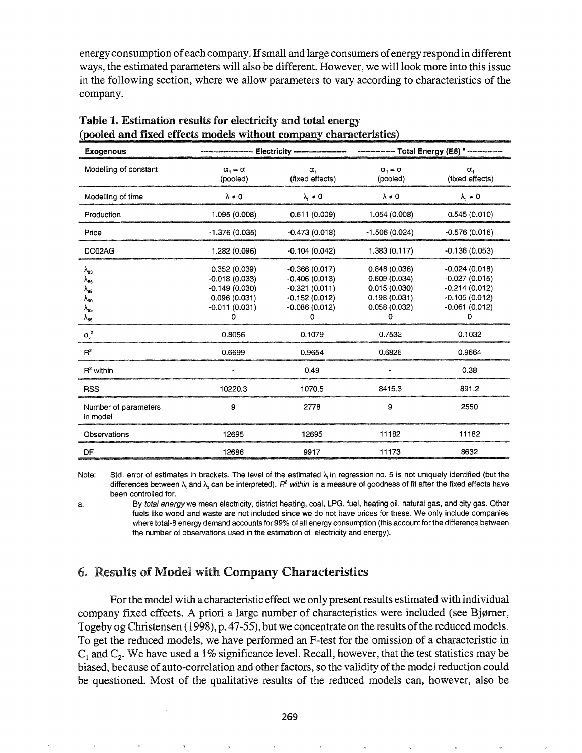energy consumption ofeach company. Ifsmall and large consumers ofenergy respond in different ways, the estimated parameters will also be different. However, we will look more into this issue in the following section, where we allow parameters to vary according to characteristics of the company.

| Exogenous                                                                                                        |                                                                                            |                                                                                                  |                                                                                   | -------------- Total Energy (E8) <sup>a</sup> --------------                                     |  |  |
|------------------------------------------------------------------------------------------------------------------|--------------------------------------------------------------------------------------------|--------------------------------------------------------------------------------------------------|-----------------------------------------------------------------------------------|--------------------------------------------------------------------------------------------------|--|--|
| Modelling of constant                                                                                            | $\alpha_1 = \alpha$<br>(pooled)                                                            | $\alpha_{1}$<br>(fixed effects)                                                                  | $\alpha_1 = \alpha$<br>(pooled)                                                   | $\alpha_{1}$<br>(fixed effects)                                                                  |  |  |
| Modelling of time                                                                                                | $\lambda \neq 0$                                                                           | $\lambda_1 = 0$                                                                                  | $\lambda \neq 0$                                                                  | $\lambda_1 \neq 0$                                                                               |  |  |
| Production                                                                                                       | 1.095 (0.008)                                                                              | 0.611(0.009)                                                                                     | 1.054(0.008)                                                                      | 0.545(0.010)                                                                                     |  |  |
| Price                                                                                                            | $-1.376(0.035)$                                                                            | $-0.473(0.018)$                                                                                  | $-1.506(0.024)$                                                                   | $-0.576(0.016)$                                                                                  |  |  |
| DC02AG                                                                                                           | 1.282 (0.096)                                                                              | $-0.104(0.042)$                                                                                  | 1.383(0.117)                                                                      | $-0.136(0.053)$                                                                                  |  |  |
| $\lambda_{83}$<br>$\lambda_{\rm ss}$<br>$\lambda_{\rm ss}$<br>$\lambda_{90}$<br>$\lambda_{93}$<br>$\lambda_{95}$ | 0.352(0.039)<br>$-0.018(0.033)$<br>$-0.149(0.030)$<br>0.096(0.031)<br>$-0.011(0.031)$<br>0 | $-0.366(0.017)$<br>$-0.406(0.013)$<br>$-0.321(0.011)$<br>$-0.152(0.012)$<br>$-0.086(0.012)$<br>0 | 0.848(0.036)<br>0.609(0.034)<br>0.015(0.030)<br>0.198(0.031)<br>0.058(0.032)<br>0 | $-0.024(0.018)$<br>$-0.027(0.015)$<br>$-0.214(0.012)$<br>$-0.105(0.012)$<br>$-0.061(0.012)$<br>0 |  |  |
| $\sigma_v^2$                                                                                                     | 0.8056                                                                                     | 0.1079                                                                                           | 0.7532                                                                            | 0.1032                                                                                           |  |  |
| $R^2$                                                                                                            | 0.6699                                                                                     | 0.9654                                                                                           | 0.6826                                                                            | 0.9664                                                                                           |  |  |
| $R^2$ within                                                                                                     |                                                                                            | 0.49                                                                                             |                                                                                   | 0.38                                                                                             |  |  |
| <b>RSS</b>                                                                                                       | 10220.3                                                                                    | 1070.5                                                                                           | 8415.3                                                                            | 891.2                                                                                            |  |  |
| Number of parameters<br>in model                                                                                 | 9                                                                                          | 2778                                                                                             | 9                                                                                 | 2550                                                                                             |  |  |
| Observations                                                                                                     | 12695                                                                                      | 12695                                                                                            | 11182                                                                             | 11182                                                                                            |  |  |
| DF                                                                                                               | 12686                                                                                      | 9917                                                                                             | 11173                                                                             | 8632                                                                                             |  |  |

Table I. Estimation results for electricity and total energy (pooled and fIXed effects models without company characteristics)

Note: Std. error of estimates in brackets. The level of the estimated  $\lambda_i$  in regression no. 5 is not uniquely identified (but the differences between  $\lambda_i$  and  $\lambda_k$  can be interpreted).  $R^2$  within is a measure of goodness of fit after the fixed effects have been controlled for.

a. By total energy we mean electricity, district heating, coal, LPG, fuel, heating oil, natural gas, and city gas. Other fuels like wood and waste are not included since we do not have prices for these. We only include companies where total-8 energy demand accounts for 99% of all energy consumption (this account for the difference between the number of observations used in the estimation of electricity and energy).

# 6\$ Results of Model with Company Characteristics

Forthe model with a characteristic effect we only presentresults estimated with individual company fixed effects. A priori a large number of characteristics were included (see Bjørner, Togeby og Christensen (1998), p. 47-55), but we concentrate on the results of the reduced models. To get the reduced models, we have performed an F-test for the omission of a characteristic in  $C_1$  and  $C_2$ . We have used a 1% significance level. Recall, however, that the test statistics may be biased, because of auto-correlation and other factors, so the validity of the model reduction could be questioned. Most of the qualitative results of the reduced models can, however, also be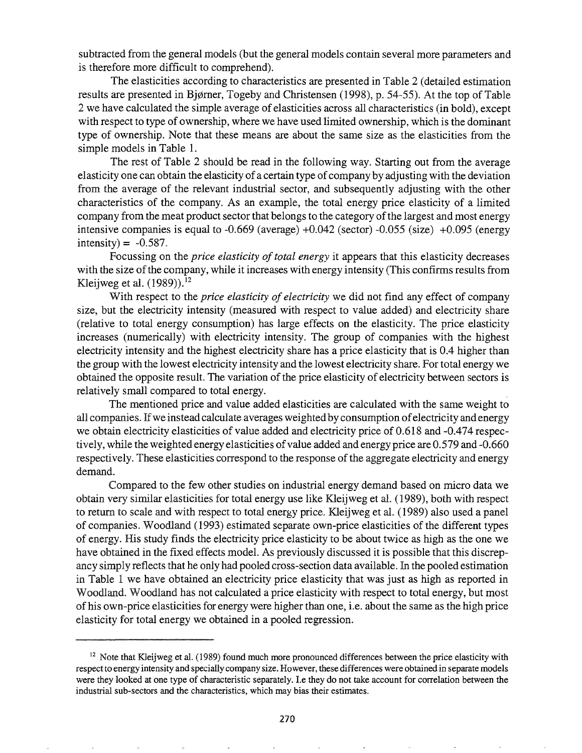subtracted from the general models (but the general models contain several more parameters and is therefore more difficult to comprehend).

The elasticities according to characteristics are presented in Table 2 (detailed estimation results are presented in Bjørner, Togeby and Christensen (1998), p. 54-55). At the top of Table 2 we have calculated the simple average of elasticities across all characteristics (in bold), except with respect to type of ownership, where we have used limited ownership, which is the dominant type of ownership. Note that these means are about the same size as the elasticities from the simple models in Table 1.

The rest of Table 2 should be read in the following way. Starting out from the average elasticity one can obtain the elasticity of a certain type of company by adjusting with the deviation from the average of the relevant industrial sector, and subsequently adjusting with the other characteristics of the company. As an example, the total energy price elasticity of a limited company from the meat product sector that belongs to the category of the largest and most energy intensive companies is equal to -0.669 (average) +0.042 (sector) -0.055 (size) +0.095 (energy  $intensity$  = -0.587.

Focussing on the *price elasticity of total energy* it appears that this elasticity decreases with the size of the company, while it increases with energy intensity (This confirms results from Kleijweg et al.  $(1989)$ .<sup>12</sup>

With respect to the *price elasticity of electricity* we did not find any effect of company size, but the electricity intensity (measured with respect to value added) and electricity share (relative to total energy consumption) has large effects on the elasticity. The price elasticity increases (numerically) with electricity intensity. The group of companies with the highest electricity intensity and the highest electricity share has a price elasticity that is 0.4 higher than the group with the lowest electricity intensity and the lowest electricity share. For total energy we obtained the opposite result. The variation of the price elasticity of electricity between sectors is relatively small compared to total energy. .

The mentioned price and value added elasticities are calculated with the same weight to all companies. Ifwe instead calculate averages weighted by consumption ofelectricity and energy we obtain electricity elasticities of value added and electricity price of 0.618 and -0.474 respectively, while the weighted energy elasticities of value added and energy price are 0.579 and -0.660 respectively. These elasticities correspond to the response of the aggregate electricity and energy demand.

Compared to the few other studies on industrial energy demand based on micro data we obtain very similar elasticities for total energy use like Kleijweg et al. (1989), both with respect to return to scale and with respect to total energy price. Kleijweg et al. (1989) also used a panel of companies. Woodland (1993) estimated separate own-price elasticities of the different types of energy. His study finds the electricity price elasticity to be about twice as high as the one we have obtained in the fixed effects model. As previously discussed it is possible that this discrepancy simply reflects that he only had pooled cross-section data available. In the pooled estimation in Table 1 we have obtained an electricity price elasticity that was just as high as reported in Woodland. Woodland has not calculated a price elasticity with respect to total energy, but most of his own-price elasticities for energy were higher than one, i.e. about the same as the high price elasticity for total energy we obtained in a pooled regression.

 $12$  Note that Kleijweg et al. (1989) found much more pronounced differences between the price elasticity with respect to energy intensity and specially company size. However, these differences were obtained in separate models were they looked at one type of characteristic separately. I.e they do not take account for correlation between the industrial sub-sectors and the characteristics, which may bias their estimates.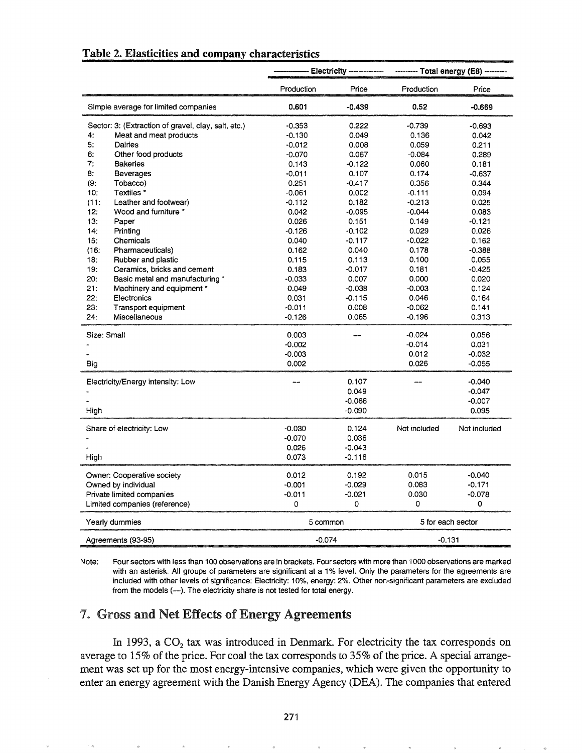|  |  | Table 2. Elasticities and company characteristics |
|--|--|---------------------------------------------------|
|  |  |                                                   |

|                                                     |                                 | - Electricity -------------- |          | --------- Total energy (E8) -------- |                   |  |
|-----------------------------------------------------|---------------------------------|------------------------------|----------|--------------------------------------|-------------------|--|
|                                                     |                                 | Production                   | Price    | Production                           | Price             |  |
| Simple average for limited companies                |                                 | 0.601                        | -0.439   | 0.52                                 | $-0.669$          |  |
| Sector: 3: (Extraction of gravel, clay, salt, etc.) |                                 | $-0.353$                     | 0.222    | $-0.739$                             | $-0.693$          |  |
| 4:                                                  | Meat and meat products          | $-0.130$                     | 0.049    | 0.136                                | 0.042             |  |
| 5:                                                  | Dairies                         | $-0.012$                     | 0.008    | 0.059                                | 0.211             |  |
| 6.                                                  | Other food products             | $-0.070$                     | 0.067    | $-0.084$                             | 0.289             |  |
| 7:                                                  | <b>Bakeries</b>                 | 0.143                        | $-0.122$ | 0.060                                | 0.181             |  |
| 8.                                                  | Beverages                       | $-0.011$                     | 0.107    | 0.174                                | $-0.637$          |  |
| (9)                                                 | Tobacco)                        | 0.251                        | $-0.417$ | 0.356                                | 0.344             |  |
| 10:                                                 | Textiles *                      | $-0.061$                     | 0.002    | $-0.111$                             | 0.094             |  |
| (11)                                                | Leather and footwear)           | $-0.112$                     | 0.182    | $-0.213$                             | 0.025             |  |
| 12:                                                 | Wood and furniture *            | 0.042                        | $-0.095$ | $-0.044$                             | 0.083             |  |
| 13:                                                 | Paper                           | 0.026                        | 0.151    | 0.149                                | $-0.121$          |  |
| 14:                                                 | Printing                        | $-0.126$                     | $-0.102$ | 0.029                                | 0.026             |  |
| 15:                                                 | Chemicals                       | 0.040                        | $-0.117$ | $-0.022$                             | 0.162             |  |
| (16:                                                | Pharmaceuticals)                | 0.162                        | 0.040    | 0.178                                | -0.388            |  |
| 18:                                                 | Rubber and plastic              | 0.115                        | 0.113    | 0.100                                | 0.055             |  |
| 19:                                                 | Ceramics, bricks and cement     | 0.183                        | $-0.017$ | 0.181                                | $-0.425$          |  |
| 20:                                                 | Basic metal and manufacturing * | -0.033                       | 0.007    | 0.000                                | 0.020             |  |
| 21:                                                 | Machinery and equipment *       | 0.049                        | $-0.038$ | $-0.003$                             | 0.124             |  |
| 22:                                                 | Electronics                     | 0.031                        | $-0.115$ | 0.046                                | 0.164             |  |
| 23:                                                 | Transport equipment             | $-0.011$                     | 0.008    | $-0.062$                             | 0.141             |  |
| 24:                                                 | Miscellaneous                   | $-0.126$                     | 0.065    | $-0.196$                             | 0.313             |  |
| Size: Small                                         |                                 | 0.003                        |          | $-0.024$                             | 0.056             |  |
|                                                     |                                 | $-0.002$                     |          | $-0.014$                             | 0.031             |  |
|                                                     |                                 | $-0.003$                     |          | 0.012                                | $-0.032$          |  |
| Big                                                 |                                 | 0.002                        |          | 0.026                                | $-0.055$          |  |
| Electricity/Energy intensity: Low                   |                                 |                              | 0.107    |                                      | $-0.040$          |  |
|                                                     |                                 |                              | 0.049    |                                      | $-0.047$          |  |
|                                                     |                                 |                              | $-0.066$ |                                      | $-0.007$          |  |
| High                                                |                                 |                              | $-0.090$ |                                      | 0.095             |  |
|                                                     | Share of electricity: Low       | $-0.030$                     | 0.124    | Not included                         | Not included      |  |
|                                                     |                                 | $-0.070$                     | 0.036    |                                      |                   |  |
|                                                     |                                 | 0.026                        | $-0.043$ |                                      |                   |  |
| High                                                |                                 | 0.073                        | $-0.116$ |                                      |                   |  |
|                                                     | Owner: Cooperative society      | 0.012                        | 0.192    | 0.015                                | $-0.040$          |  |
| Owned by individual                                 |                                 | $-0.001$                     | $-0.029$ | 0.083                                | $-0.171$          |  |
| Private limited companies                           |                                 | $-0.011$                     | $-0.021$ | 0.030                                | $-0.078$          |  |
| Limited companies (reference)                       |                                 | 0                            | 0        | $\mathbf 0$                          | 0                 |  |
|                                                     | Yearly dummies                  | 5 common                     |          |                                      | 5 for each sector |  |
| Agreements (93-95)                                  |                                 | $-0.074$                     |          | $-0.131$                             |                   |  |

Note: Four sectors with less than 100 observations are in brackets. Four sectors with more than 1000 observations are marked with an asterisk. All groups of parameters are significant at a 1% level. Only the parameters for the agreements are included with other levels of significance: Electricity: 10%, energy: 2%. Other non-significant parameters are excluded from the models (--). The electricity share is not tested for total energy.

# 7. Gross and Net Effects of Energy Agreements

In 1993, a  $CO<sub>2</sub>$  tax was introduced in Denmark. For electricity the tax corresponds on average to 15% of the price. For coal the tax corresponds to 35% of the price. A special arrangement was set up for the most energy-intensive companies, which were given the opportunity to enter an energy agreement with the Danish Energy Agency (DEA). The companies that entered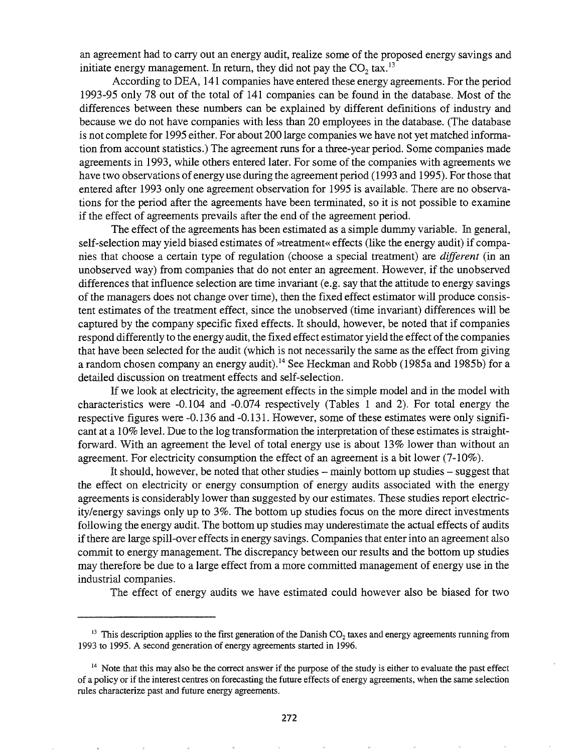an agreement had to carry out an energy audit, realize some ofthe proposed energy savings and initiate energy management. In return, they did not pay the  $CO$ , tax.<sup>13</sup>

According to DEA, 141 companies have entered these energy agreements. For the period 1993-95 only 78 out of the total of 141 companies can be found in the database. Most of the differences between these numbers can be explained by different definitions of industry and because we do not have companies with less than 20 employees in the database. (The database is not complete for 1995 either. For about 200 large companies we have not yet matched information from account statistics.) The agreement runs for a three-year period. Some companies made agreements in 1993, while others entered later. For some of the companies with agreements we have two observations of energy use during the agreement period (1993 and 1995). For those that entered after 1993 only one agreement observation for 1995 is available. There are no observations for the period after the agreements have been terminated, so it is not possible to examine if the effect of agreements prevails after the end of the agreement period.

The effect of the agreements has been estimated as a simple dummy variable. In general, self-selection may yield biased estimates of »treatment« effects (like the energy audit) if companies that choose a certain type of regulation (choose a special treatment) are *different* (in an unobserved way) from companies that do not enter an agreement. However, if the unobserved differences that influence selection are time invariant (e.g. say that the attitude to energy savings ofthe managers does not change over time), then the fixed effect estimator will produce consistent estimates of the treatment effect, since the unobserved (time invariant) differences will be captured by the company specific fixed effects. It should, however, be noted that if companies respond differently to the energy audit, the fixed effect estimator yield the effect of the companies that have been selected for the audit (which is not necessarily the same as the effect from giving a random chosen company an energy audit). <sup>14</sup> See Heckman and Robb (1985a and 1985b) for a detailed discussion on treatment effects and self-selection.

If we look at electricity, the agreement effects in the simple model and in the model with characteristics were -0.104 and -0.074 respectively (Tables 1 and 2). For total energy the respective figures were -0.136 and -0.131. However, some of these estimates were only significant at a 10% level. Due to the log transformation the interpretation ofthese estimates is straightforward. With an agreement the level of total energy use is about  $13\%$  lower than without an agreement. For electricity consumption the effect of an agreement is a bit lower (7-10%).

It should, however, be noted that other studies – mainly bottom up studies – suggest that the effect on electricity or energy consumption of energy audits associated with the energy agreements is considerably lower than suggested by our estimates. These studies report electricity/energy savings only up to 3%. The bottom up studies focus on the more direct investments following the energy audit. The bottom up studies may underestimate the actual effects of audits if there are large spill-over effects in energy savings. Companies that enter into an agreement also commit to energy management. The discrepancy between our results and the bottom up studies may therefore be due to a large effect from a more committed management of energy use in the industrial companies.

The effect of energy audits we have estimated could however also be biased for two

 $13$  This description applies to the first generation of the Danish CO<sub>2</sub> taxes and energy agreements running from 1993 to 1995. A second generation of energy agreements started in 1996.

<sup>&</sup>lt;sup>14</sup> Note that this may also be the correct answer if the purpose of the study is either to evaluate the past effect of a policy or ifthe interest centres on forecasting the future effects of energy agreements, when the same selection rules characterize past and future energy agreements.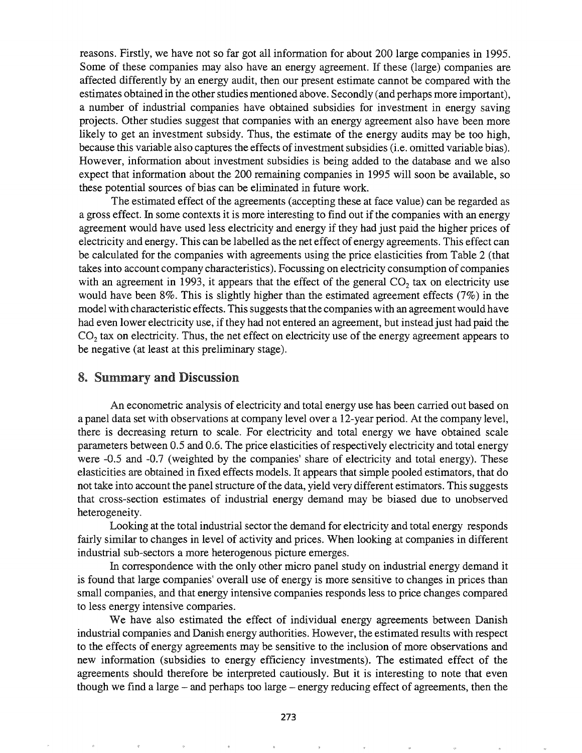reasons. Firstly, we have not so far got all information for about 200 large companies in 1995. Some of these companies may also have an energy agreement. If these (large) companies are affected differently by an energy audit, then our present estimate cannot be compared with the estimates obtained in the other studies mentioned above. Secondly (and perhaps more important), a number of industrial companies have obtained subsidies for investment in energy saving projects. Other studies suggest that companies with an energy agreement also have been more likely to get an investment subsidy. Thus, the estimate of the energy audits may be too high, because this variable also captures the effects of investment subsidies (i.e. omitted variable bias). However, information about investment subsidies is being added to the database and we also expect that information about the 200 remaining companies in 1995 will soon be available, so these potential sources of bias can be eliminated in future work.

The estimated effect of the agreements (accepting these at face value) can be regarded as a gross effect. In some contexts it is more interesting to find out if the companies with an energy agreement would have used less electricity and energy if they had just paid the higher prices of electricity and energy. This can be labelled as the net effect of energy agreements. This effect can be calculated for the companies with agreements using the price elasticities from Table 2 (that takes into account company characteristics). Focussing on electricity consumption of companies with an agreement in 1993, it appears that the effect of the general  $CO<sub>2</sub>$  tax on electricity use would have been 8%. This is slightly higher than the estimated agreement effects (7%) in the model with characteristic effects. This suggeststhat the companies with an agreement would have had even lower electricity use, if they had not entered an agreement, but instead just had paid the CO<sub>2</sub> tax on electricity. Thus, the net effect on electricity use of the energy agreement appears to be negative (at least at this preliminary stage).

#### 8. Summary and Discussion

An econometric analysis of electricity and total energy use has been carried out based on a panel data set with observations at company level over a 12-year period. At the company level, there is decreasing return to scale. For electricity and total energy we have obtained scale parameters between 0.5 and 0.6. The price elasticities ofrespectively electricity and total energy were -0.5 and -0.7 (weighted by the companies' share of electricity and total energy). These elasticities are obtained in fixed effects models. It appears that simple pooled estimators, that do not take into account the panel structure of the data, yield very different estimators. This suggests that cross-section estimates of industrial energy demand may be biased due to unobserved heterogeneity.

Looking at the total industrial sector the demand for electricity and total energy responds fairly similar to changes in level of activity and prices. When looking at companies in different industrial sub-sectors a more heterogenous picture emerges.

In correspondence with the only other micro panel study on industrial energy demand it is found that large companies' overall use of energy is more sensitive to changes in prices than small companies, and that energy intensive companies responds less to price changes compared to less energy intensive comparies.

We have also estimated the effect of individual energy agreements between Danish industrial companies and Danish energy authorities. However, the estimated results with respect to the effects of energy agreements may be sensitive to the inclusion of more observations and new information (subsidies to energy efficiency investments). The estimated effect of the agreements should therefore be interpreted cautiously. But it is interesting to note that even though we find a large - and perhaps too large - energy reducing effect of agreements, then the